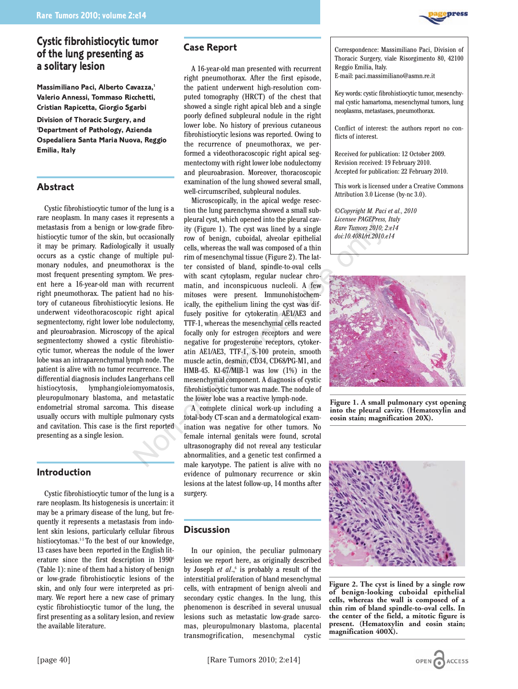# **Cystic fibrohistiocytic tumor of the lung presenting as a solitary lesion**

**Massimiliano Paci, Alberto Cavazza,1 Valerio Annessi, Tommaso Ricchetti, Cristian Rapicetta, Giorgio Sgarbi**

**Division of Thoracic Surgery, and 1 Department of Pathology, Azienda Ospedaliera Santa Maria Nuova, Reggio Emilia, Italy**

# **Abstract**

Cystic fibrohistiocytic tumor of the lung is a rare neoplasm. In many cases it represents a metastasis from a benign or low-grade fibrohistiocytic tumor of the skin, but occasionally it may be primary. Radiologically it usually occurs as a cystic change of multiple pulmonary nodules, and pneumothorax is the most frequent presenting symptom. We present here a 16-year-old man with recurrent right pneumothorax. The patient had no history of cutaneous fibrohistiocytic lesions. He underwent videothoracoscopic right apical segmentectomy, right lower lobe nodulectomy, and pleuroabrasion. Microscopy of the apical segmentectomy showed a cystic fibrohistiocytic tumor, whereas the nodule of the lower lobe was an intraparenchymal lymph node. The patient is alive with no tumor recurrence. The differential diagnosis includes Langerhans cell histiocytosis, lymphangioleiomyomatosis, pleuropulmonary blastoma, and metastatic endometrial stromal sarcoma. This disease usually occurs with multiple pulmonary cysts and cavitation. This case is the first reported presenting as a single lesion.

# **Introduction**

Cystic fibrohistiocytic tumor of the lung is a rare neoplasm. Its histogenesis is uncertain: it may be a primary disease of the lung, but frequently it represents a metastasis from indolent skin lesions, particularly cellular fibrous histiocytomas.<sup>15</sup> To the best of our knowledge, 13 cases have been reported in the English literature since the first description in 1990<sup>6</sup> (Table 1): nine of them had a history of benign or low-grade fibrohistiocytic lesions of the skin, and only four were interpreted as primary. We report here a new case of primary cystic fibrohistiocytic tumor of the lung, the first presenting as a solitary lesion, and review the available literature.

### **Case Report**

A 16-year-old man presented with recurrent right pneumothorax. After the first episode, the patient underwent high-resolution computed tomography (HRCT) of the chest that showed a single right apical bleb and a single poorly defined subpleural nodule in the right lower lobe. No history of previous cutaneous fibrohistiocytic lesions was reported. Owing to the recurrence of pneumothorax, we performed a videothoracoscopic right apical segmentectomy with right lower lobe nodulectomy and pleuroabrasion. Moreover, thoracoscopic examination of the lung showed several small, well-circumscribed, subpleural nodules.

Microscopically, in the apical wedge resection the lung parenchyma showed a small subpleural cyst, which opened into the pleural cavity (Figure 1). The cyst was lined by a single row of benign, cuboidal, alveolar epithelial cells, whereas the wall was composed of a thin rim of mesenchymal tissue (Figure 2). The latter consisted of bland, spindle-to-oval cells with scant cytoplasm, regular nuclear chromatin, and inconspicuous nucleoli. A few mitoses were present. Immunohistochemically, the epithelium lining the cyst was diffusely positive for cytokeratin AE1/AE3 and TTF-1, whereas the mesenchymal cells reacted focally only for estrogen receptors and were negative for progesterone receptors, cytokeratin AE1/AE3, TTF-1, S-100 protein, smooth muscle actin, desmin, CD34, CD68/PG-M1, and HMB-45. KI-67/MIB-1 was low (1%) in the mesenchymal component. A diagnosis of cystic fibrohistiocytic tumor was made. The nodule of the lower lobe was a reactive lymph-node. w-grade fibro-<br>
in (Figure 1). The cyst was lined by a single<br>
it occasionally row of benign, cuboidal, alveolar epithelial<br>
and with stually rit usually row of benign, cuboidal, alveolar epithelial<br>
multiple pul-<br>
multip

A complete clinical work-up including a total-body CT-scan and a dermatological examination was negative for other tumors. No female internal genitals were found, scrotal ultrasonography did not reveal any testicular abnormalities, and a genetic test confirmed a male karyotype. The patient is alive with no evidence of pulmonary recurrence or skin lesions at the latest follow-up, 14 months after surgery.

# **Discussion**

In our opinion, the peculiar pulmonary lesion we report here, as originally described by Joseph *et al.*,<sup>6</sup> is probably a result of the interstitial proliferation of bland mesenchymal cells, with entrapment of benign alveoli and secondary cystic changes. In the lung, this phenomenon is described in several unusual lesions such as metastatic low-grade sarcomas, pleuropulmonary blastoma, placental transmogrification, mesenchymal cystic Correspondence: Massimiliano Paci, Division of Thoracic Surgery, viale Risorgimento 80, 42100 Reggio Emilia, Italy. E-mail: paci.massimiliano@asmn.re.it

Key words: cystic fibrohistiocytic tumor, mesenchymal cystic hamartoma, mesenchymal tumors, lung neoplasms, metastases, pneumothorax.

Conflict of interest: the authors report no conflicts of interest.

Received for publication: 12 October 2009. Revision received: 19 February 2010. Accepted for publication: 22 February 2010.

This work is licensed under a Creative Commons Attribution 3.0 License (by-nc 3.0).

*©Copyright M. Paci et al., 2010 Licensee PAGEPress, Italy Rare Tumors 2010; 2:e14 doi:10.4081/rt.2010.e14*



**Figure 1. A small pulmonary cyst opening into the pleural cavity. (Hematoxylin and eosin stain; magnification 20X).**



**Figure 2. The cyst is lined by a single row of benign-looking cuboidal epithelial cells, whereas the wall is composed of a thin rim of bland spindle-to-oval cells. In the center of the field, a mitotic figure is present. (Hematoxylin and eosin stain; magnification 400X).**

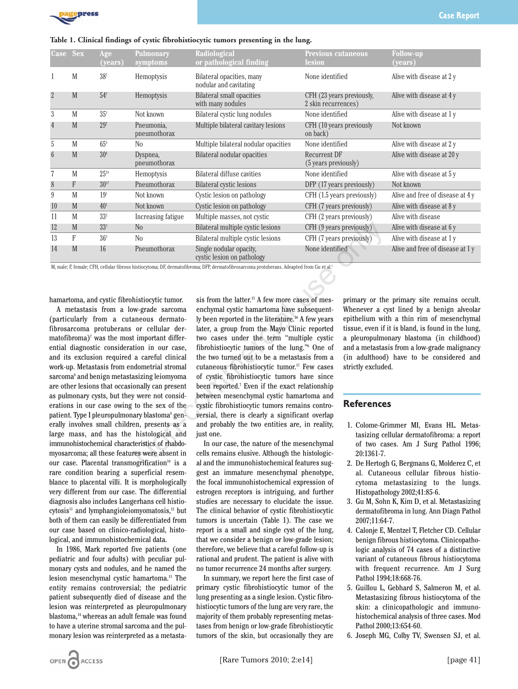

| <b>Case</b>     | <b>Sex</b> | Age<br>(years)  | <b>Pulmonary</b><br>symptoms | Radiological<br>or pathological finding               | <b>Previous cutaneous</b><br>lesion              | <b>Follow-up</b><br>(years)      |
|-----------------|------------|-----------------|------------------------------|-------------------------------------------------------|--------------------------------------------------|----------------------------------|
|                 | M          | 38 <sup>7</sup> | Hemoptysis                   | Bilateral opacities, many<br>nodular and cavitating   | None identified                                  | Alive with disease at 2 y        |
| $\overline{2}$  | M          | 54 <sup>7</sup> | Hemoptysis                   | Bilateral small opacities<br>with many nodules        | CFH (23 years previously,<br>2 skin recurrences) | Alive with disease at 4 y        |
| 3               | M          | $35^{7}$        | Not known                    | Bilateral cystic lung nodules                         | None identified                                  | Alive with disease at 1 y        |
| $\overline{4}$  | M          | $29^{7}$        | Pneumonia,<br>pneumothorax   | Multiple bilateral cavitary lesions                   | CFH (10 years previously<br>on back)             | Not known                        |
| 5               | M          | $65^{\circ}$    | N <sub>0</sub>               | Multiple bilateral nodular opacities                  | None identified                                  | Alive with disease at 2 y        |
| $6\overline{6}$ | M          | 30 <sup>6</sup> | Dyspnea,<br>pneumothorax     | Bilateral nodular opacities                           | <b>Recurrent DF</b><br>(5 years previously)      | Alive with disease at 20 y       |
| $\overline{7}$  | M          | $25^{18}$       | Hemoptysis                   | Bilateral diffuse cavities                            | None identified                                  | Alive with disease at 5 y        |
| 8               | F          | $30^{17}$       | Pneumothorax                 | Bilateral cystic lesions                              | DFP (17 years previously)                        | Not known                        |
| 9               | M          | 19 <sup>1</sup> | Not known                    | Cystic lesion on pathology                            | CFH (1.5 years previously)                       | Alive and free of disease at 4 y |
| 10              | M          | 40 <sup>1</sup> | Not known                    | Cystic lesion on pathology                            | CFH (7 years previously)                         | Alive with disease at 8 y        |
| 11              | M          | 33 <sup>2</sup> | Increasing fatigue           | Multiple masses, not cystic                           | CFH (2 years previously)                         | Alive with disease               |
| 12              | M          | 33 <sup>3</sup> | N <sub>o</sub>               | Bilateral multiple cystic lesions                     | CFH (9 years previously)                         | Alive with disease at 6 y        |
| 13              | F          | 36 <sup>3</sup> | N <sub>0</sub>               | Bilateral multiple cystic lesions                     | CFH (7 years previously)                         | Alive with disease at 1 y        |
| 14              | M          | 16              | Pneumothorax                 | Single nodular opacity,<br>cystic lesion on pathology | None identified                                  | Alive and free of disease at 1y  |

M, male; F, female; CFH, cellular fibrous histiocytoma; DF, dermatofibroma; DFP, dermatofibrosarcoma protuberans. Adeapted from Gu et al.3

hamartoma, and cystic fibrohistiocytic tumor.

A metastasis from a low-grade sarcoma (particularly from a cutaneous dermatofibrosarcoma protuberans or cellular der $m$ atofibroma)<sup>7</sup> was the most important differential diagnostic consideration in our case, and its exclusion required a careful clinical work-up. Metastasis from endometrial stromal sarcoma<sup>8</sup> and benign metastasizing leiomyoma are other lesions that occasionally can present as pulmonary cysts, but they were not considerations in our case owing to the sex of the patient. Type I pleuropulmonary blastoma<sup>9</sup> generally involves small children, presents as a large mass, and has the histological and immunohistochemical characteristics of rhabdomyosarcoma; all these features were absent in our case. Placental transmogrification<sup>10</sup> is a rare condition bearing a superficial resemblance to placental villi. It is morphologically very different from our case. The differential diagnosis also includes Langerhans cell histiocytosis<sup>11</sup> and lymphangioleiomyomatosis,<sup>12</sup> but both of them can easily be differentiated from our case based on clinico-radiological, histological, and immunohistochemical data.

In 1986, Mark reported five patients (one pediatric and four adults) with peculiar pulmonary cysts and nodules, and he named the lesion mesenchymal cystic hamartoma.13 The entity remains controversial; the pediatric patient subsequently died of disease and the lesion was reinterpreted as pleuropulmonary blastoma,<sup>14</sup> whereas an adult female was found to have a uterine stromal sarcoma and the pulmonary lesion was reinterpreted as a metasta-

sis from the latter.<sup>15</sup> A few more cases of mesenchymal cystic hamartoma have subsequently been reported in the literature.<sup>16</sup> A few years later, a group from the Mayo Clinic reported two cases under the term "multiple cystic fibrohistiocytic tumors of the lung."6 One of the two turned out to be a metastasis from a cutaneous fibrohistiocytic tumor.<sup>17</sup> Few cases of cystic fibrohistiocytic tumors have since been reported.<sup>7</sup> Even if the exact relationship between mesenchymal cystic hamartoma and cystic fibrohistiocytic tumors remains controversial, there is clearly a significant overlap and probably the two entities are, in reality, just one. No<br>
No<br>
Bilateral multiple cystic lesions<br>
CFH (9 years previously)<br>
No<br>
Singe nodalar opacity,<br>
experiment of the commercial use of the commercial of the commercial of<br>
thisticocytic tumor.<br>
sis from the latter.<sup>15</sup> A fe

In our case, the nature of the mesenchymal cells remains elusive. Although the histological and the immunohistochemical features suggest an immature mesenchymal phenotype, the focal immunohistochemical expression of estrogen receptors is intriguing, and further studies are necessary to elucidate the issue. The clinical behavior of cystic fibrohistiocytic tumors is uncertain (Table 1). The case we report is a small and single cyst of the lung, that we consider a benign or low-grade lesion; therefore, we believe that a careful follow-up is rational and prudent. The patient is alive with no tumor recurrence 24 months after surgery.

In summary, we report here the first case of primary cystic fibrohistiocytic tumor of the lung presenting as a single lesion. Cystic fibrohistiocytic tumors of the lung are very rare, the majority of them probably representing metastases from benign or low-grade fibrohistiocytic tumors of the skin, but occasionally they are

primary or the primary site remains occult. Whenever a cyst lined by a benign alveolar epithelium with a thin rim of mesenchymal tissue, even if it is bland, is found in the lung, a pleuropulmonary blastoma (in childhood) and a metastasis from a low-grade malignancy (in adulthood) have to be considered and strictly excluded.

#### **References**

- 1. Colome-Grimmer MI, Evans HL. Metastasizing cellular dermatofibroma: a report of two cases. Am J Surg Pathol 1996; 20:1361-7.
- 2. De Hertogh G, Bergmans G, Molderez C, et al. Cutaneous cellular fibrous histiocytoma metastasizing to the lungs. Histopathology 2002;41:85-6.
- 3. Gu M, Sohn K, Kim D, et al. Metastasizing dermatofibroma in lung. Ann Diagn Pathol 2007;11:64-7.
- 4. Calonje E, Mentzel T, Fletcher CD. Cellular benign fibrous histiocytoma. Clinicopathologic analysis of 74 cases of a distinctive variant of cutaneous fibrous histiocytoma with frequent recurrence. Am J Surg Pathol 1994;18:668-76.
- 5. Guillou L, Gebhard S, Salmeron M, et al. Metastasizing fibrous histiocytoma of the skin: a clinicopathologic and immunohistochemical analysis of three cases. Mod Pathol 2000;13:654-60.
- 6. Joseph MG, Colby TV, Swensen SJ, et al.